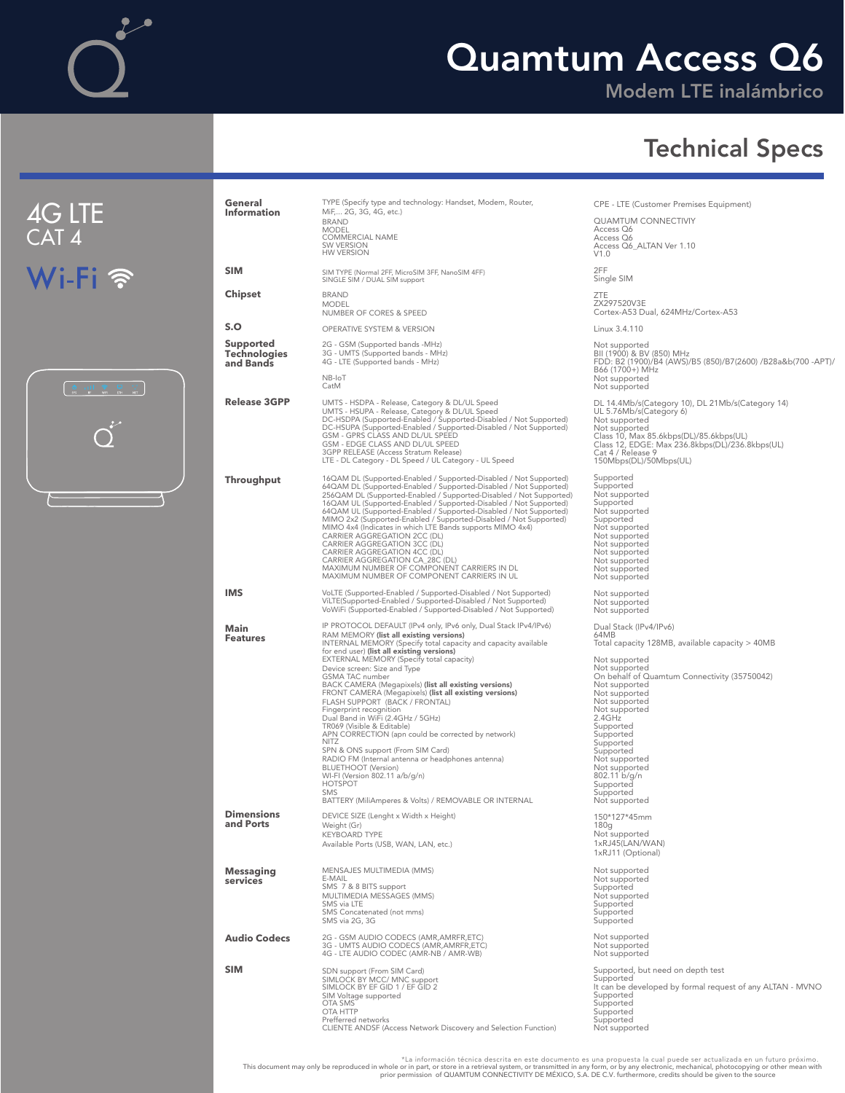

4G LTE CAT 4

## Quamtum Access Q6

Modem LTE inalámbrico

#### Technical Specs



| General<br><b>Information</b>                        | TYPE (Specify type and technology: Handset, Modem, Router,<br>MiF, 2G, 3G, 4G, etc.)                                                                                                                                                                                                                                                                                                                                                                                                                                                                                                                                                                                                                                                                                                                                                                                                                  | CPE - LTE (Customer Premises Equipment)                                                                                                                                                                                                                                                                                                                                                            |
|------------------------------------------------------|-------------------------------------------------------------------------------------------------------------------------------------------------------------------------------------------------------------------------------------------------------------------------------------------------------------------------------------------------------------------------------------------------------------------------------------------------------------------------------------------------------------------------------------------------------------------------------------------------------------------------------------------------------------------------------------------------------------------------------------------------------------------------------------------------------------------------------------------------------------------------------------------------------|----------------------------------------------------------------------------------------------------------------------------------------------------------------------------------------------------------------------------------------------------------------------------------------------------------------------------------------------------------------------------------------------------|
|                                                      | <b>BRAND</b><br><b>MODEL</b><br><b>COMMERCIAL NAME</b><br>SW VERSION<br><b>HW VERSION</b>                                                                                                                                                                                                                                                                                                                                                                                                                                                                                                                                                                                                                                                                                                                                                                                                             | <b>QUAMTUM CONNECTIVIY</b><br>Access Q6<br>Access Q6<br>Access Q6_ALTAN Ver 1.10<br>V1.0                                                                                                                                                                                                                                                                                                           |
| <b>SIM</b>                                           | SIM TYPE (Normal 2FF, MicroSIM 3FF, NanoSIM 4FF)<br>SINGLE SIM / DUAL SIM support                                                                                                                                                                                                                                                                                                                                                                                                                                                                                                                                                                                                                                                                                                                                                                                                                     | 2FF<br>Single SIM                                                                                                                                                                                                                                                                                                                                                                                  |
| <b>Chipset</b>                                       | <b>BRAND</b><br><b>MODEL</b><br>NUMBER OF CORES & SPEED                                                                                                                                                                                                                                                                                                                                                                                                                                                                                                                                                                                                                                                                                                                                                                                                                                               | ZTE<br>ZX297520V3E<br>Cortex-A53 Dual, 624MHz/Cortex-A53                                                                                                                                                                                                                                                                                                                                           |
| S.O                                                  | OPERATIVE SYSTEM & VERSION                                                                                                                                                                                                                                                                                                                                                                                                                                                                                                                                                                                                                                                                                                                                                                                                                                                                            | Linux 3.4.110                                                                                                                                                                                                                                                                                                                                                                                      |
| <b>Supported</b><br><b>Technologies</b><br>and Bands | 2G - GSM (Supported bands -MHz)<br>3G - UMTS (Supported bands - MHz)<br>4G - LTE (Supported bands - MHz)<br>NB-IoT<br>CatM                                                                                                                                                                                                                                                                                                                                                                                                                                                                                                                                                                                                                                                                                                                                                                            | Not supported<br>BII (1900) & BV (850) MHz<br>FDD: B2 (1900)/B4 (AWS)/B5 (850)/B7(2600) /B28a&b(700 -APT)/<br>B66 (1700+) MHz<br>Not supported<br>Not supported                                                                                                                                                                                                                                    |
| <b>Release 3GPP</b>                                  | UMTS - HSDPA - Release, Category & DL/UL Speed<br>UMTS - HSUPA - Release, Category & DL/UL Speed<br>DC-HSDPA (Supported-Enabled / Supported-Disabled / Not Supported)<br>DC-HSUPA (Supported-Enabled / Supported-Disabled / Not Supported)<br>GSM - GPRS CLASS AND DL/UL SPEED<br>GSM - EDGE CLASS AND DL/UL SPEED<br>3GPP RELEASE (Access Stratum Release)<br>LTE - DL Category - DL Speed / UL Category - UL Speed                                                                                                                                                                                                                                                                                                                                                                                                                                                                                  | DL 14.4Mb/s(Category 10), DL 21Mb/s(Category 14)<br>UL 5.76Mb/s(Category 6)<br>Not supported<br>Not supported<br>Class 10, Max 85.6kbps(DL)/85.6kbps(UL)<br>Class 12, EDGE: Max 236.8kbps(DL)/236.8kbps(UL)<br>Cat 4 / Release 9<br>150Mbps(DL)/50Mbps(UL)                                                                                                                                         |
| Throughput                                           | 16QAM DL (Supported-Enabled / Supported-Disabled / Not Supported)<br>64QAM DL (Supported-Enabled / Supported-Disabled / Not Supported)<br>256QAM DL (Supported-Enabled / Supported-Disabled / Not Supported)<br>16QAM UL (Supported-Enabled / Supported-Disabled / Not Supported)<br>64QAM UL (Supported-Enabled / Supported-Disabled / Not Supported)<br>MIMO 2x2 (Supported-Enabled / Supported-Disabled / Not Supported)<br>MIMO 4x4 (Indicates in which LTE Bands supports MIMO 4x4)<br>CARRIER AGGREGATION 2CC (DL)<br>CARRIER AGGREGATION 3CC (DL)<br>CARRIER AGGREGATION 4CC (DL)<br>CARRIER AGGREGATION CA_28C (DL)<br>MAXIMUM NUMBER OF COMPONENT CARRIERS IN DL<br>MAXIMUM NUMBER OF COMPONENT CARRIERS IN UL                                                                                                                                                                               | Supported<br>Supported<br>Not supported<br>Supported<br>Not supported<br>Supported<br>Not supported<br>Not supported<br>Not supported<br>Not supported<br>Not supported<br>Not supported<br>Not supported                                                                                                                                                                                          |
| <b>IMS</b>                                           | VoLTE (Supported-Enabled / Supported-Disabled / Not Supported)<br>ViLTE(Supported-Enabled / Supported-Disabled / Not Supported)<br>VoWiFi (Supported-Enabled / Supported-Disabled / Not Supported)                                                                                                                                                                                                                                                                                                                                                                                                                                                                                                                                                                                                                                                                                                    | Not supported<br>Not supported<br>Not supported                                                                                                                                                                                                                                                                                                                                                    |
| Main<br><b>Features</b>                              | IP PROTOCOL DEFAULT (IPv4 only, IPv6 only, Dual Stack IPv4/IPv6)<br>RAM MEMORY (list all existing versions)<br>INTERNAL MEMORY (Specify total capacity and capacity available<br>for end user) (list all existing versions)<br>EXTERNAL MEMORY (Specify total capacity)<br>Device screen: Size and Type<br>GSMA TAC number<br>BACK CAMERA (Megapixels) (list all existing versions)<br>FRONT CAMERA (Megapixels) (list all existing versions)<br>FLASH SUPPORT (BACK / FRONTAL)<br>Fingerprint recognition<br>Dual Band in WiFi (2.4GHz / 5GHz)<br>TR069 (Visible & Editable)<br>APN CORRECTION (apn could be corrected by network)<br><b>NITZ</b><br>SPN & ONS support (From SIM Card)<br>RADIO FM (Internal antenna or headphones antenna)<br><b>BLUETHOOT</b> (Version)<br>WI-FI (Version 802.11 a/b/g/n)<br><b>HOTSPOT</b><br><b>SMS</b><br>BATTERY (MiliAmperes & Volts) / REMOVABLE OR INTERNAL | Dual Stack (IPv4/IPv6)<br>64MB<br>Total capacity 128MB, available capacity > 40MB<br>Not supported<br>Not supported<br>On behalf of Quamtum Connectivity (35750042)<br>Not supported<br>Not supported<br>Not supported<br>Not supported<br>2.4GHz<br>Supported<br>Supported<br>Supported<br>Supported<br>Not supported<br>Not supported<br>802.11 b/g/n<br>Supported<br>Supported<br>Not supported |
| <b>Dimensions</b><br>and Ports                       | DEVICE SIZE (Lenght x Width x Height)<br>Weight (Gr)<br><b>KEYBOARD TYPE</b><br>Available Ports (USB, WAN, LAN, etc.)                                                                                                                                                                                                                                                                                                                                                                                                                                                                                                                                                                                                                                                                                                                                                                                 | 150*127*45mm<br>180g<br>Not supported<br>1xRJ45(LAN/WAN)<br>1xRJ11 (Optional)                                                                                                                                                                                                                                                                                                                      |
| <b>Messaging</b><br>services                         | MENSAJES MULTIMEDIA (MMS)<br>E-MAIL<br>SMS 7 & 8 BITS support<br>MULTIMEDIA MESSAGES (MMS)<br>SMS via LTE<br>SMS Concatenated (not mms)<br>SMS via 2G, 3G                                                                                                                                                                                                                                                                                                                                                                                                                                                                                                                                                                                                                                                                                                                                             | Not supported<br>Not supported<br>Supported<br>Not supported<br>Supported<br>Supported<br>Supported                                                                                                                                                                                                                                                                                                |
| <b>Audio Codecs</b>                                  | 2G - GSM AUDIO CODECS (AMR, AMRFR, ETC)<br>3G - UMTS AUDIO CODECS (AMR, AMRFR, ETC)<br>4G - LTE AUDIO CODEC (AMR-NB / AMR-WB)                                                                                                                                                                                                                                                                                                                                                                                                                                                                                                                                                                                                                                                                                                                                                                         | Not supported<br>Not supported<br>Not supported                                                                                                                                                                                                                                                                                                                                                    |
| <b>SIM</b>                                           | SDN support (From SIM Card)<br>SIMLOCK BY MCC/ MNC support<br>SIMLOCK BY EF GID 1 / EF GID 2<br>SIM Voltage supported<br>OTA SMS<br>OTA HTTP<br>Prefferred networks<br>CLIENTE ANDSF (Access Network Discovery and Selection Function)                                                                                                                                                                                                                                                                                                                                                                                                                                                                                                                                                                                                                                                                | Supported, but need on depth test<br>Supported<br>It can be developed by formal request of any ALTAN - MVNO<br>Supported<br>Supported<br>Supported<br>Supported<br>Not supported                                                                                                                                                                                                                   |
|                                                      | This document may only be reproduced in whole or in part, or store in a retrieval system, or transmitted in any form, or by any electronic, mechanical, photocopying or other                                                                                                                                                                                                                                                                                                                                                                                                                                                                                                                                                                                                                                                                                                                         | *La información técnica descrita en este documento es una propuesta la cual puede ser actualizada en un futuro próximo.                                                                                                                                                                                                                                                                            |

tla información técnica descrita en este documento es una propuesta la cual puede ser actualizada en un futuro próximo.<br>This document may only be reproduced in whole or in part, or store in a retrieval system, corby the ma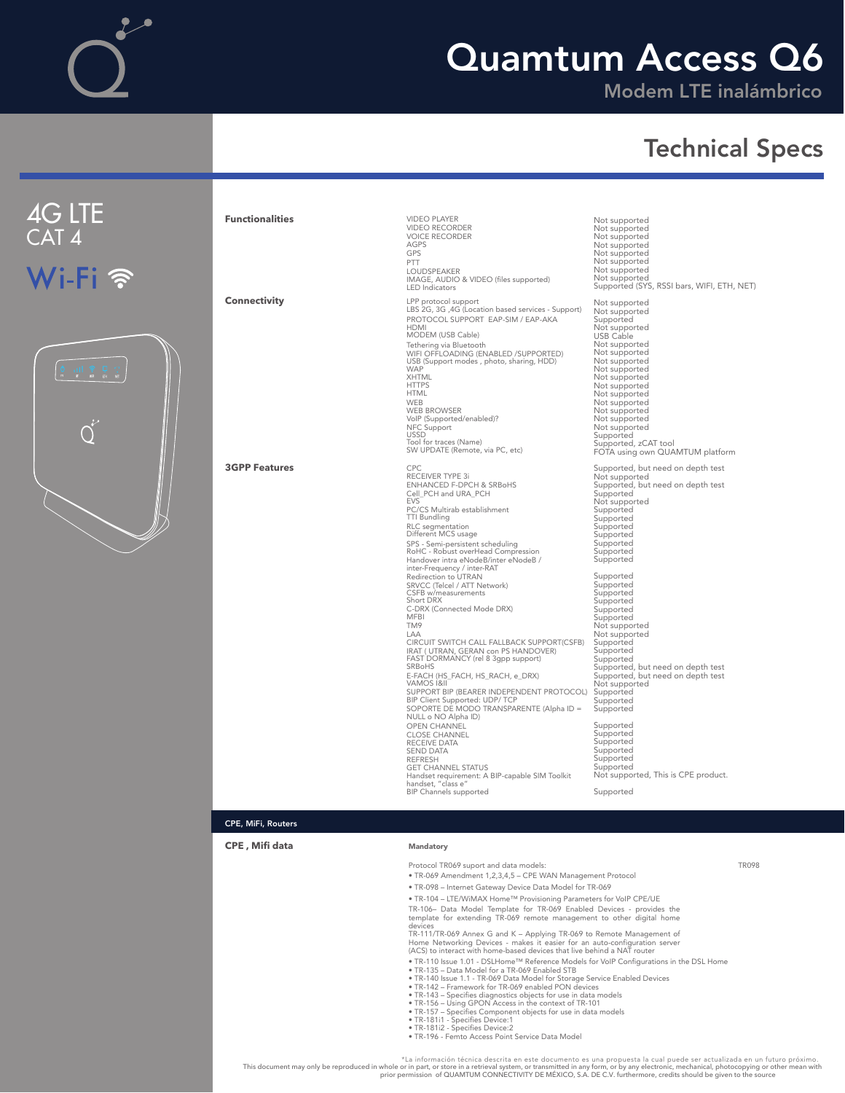

## Quamtum Access Q6

Modem LTE inalámbrico

#### Technical Specs





| <b>Functionalities</b>    | <b>VIDEO PLAYER</b><br><b>VIDEO RECORDER</b><br><b>VOICE RECORDER</b><br><b>AGPS</b><br><b>GPS</b><br>PTT<br><b>LOUDSPEAKER</b><br>IMAGE, AUDIO & VIDEO (files supported)<br><b>LED</b> Indicators                                                                                                                                                                                                                                                                                                                                                                                                                                                                                                                                                                                                                                                                                                                                                                                                                                                                                          | Not supported<br>Not supported<br>Not supported<br>Not supported<br>Not supported<br>Not supported<br>Not supported<br>Not supported<br>Supported (SYS, RSSI bars, WIFI, ETH, NET)                                                                                                                                                                                                                                                                                                                                                                                                                                                          |
|---------------------------|---------------------------------------------------------------------------------------------------------------------------------------------------------------------------------------------------------------------------------------------------------------------------------------------------------------------------------------------------------------------------------------------------------------------------------------------------------------------------------------------------------------------------------------------------------------------------------------------------------------------------------------------------------------------------------------------------------------------------------------------------------------------------------------------------------------------------------------------------------------------------------------------------------------------------------------------------------------------------------------------------------------------------------------------------------------------------------------------|---------------------------------------------------------------------------------------------------------------------------------------------------------------------------------------------------------------------------------------------------------------------------------------------------------------------------------------------------------------------------------------------------------------------------------------------------------------------------------------------------------------------------------------------------------------------------------------------------------------------------------------------|
| <b>Connectivity</b>       | LPP protocol support<br>LBS 2G, 3G ,4G (Location based services - Support)<br>PROTOCOL SUPPORT EAP-SIM / EAP-AKA<br><b>HDMI</b><br>MODEM (USB Cable)<br>Tethering via Bluetooth<br>WIFI OFFLOADING (ENABLED /SUPPORTED)<br>USB (Support modes, photo, sharing, HDD)<br><b>WAP</b><br><b>XHTML</b><br><b>HTTPS</b><br><b>HTML</b><br><b>WEB</b><br><b>WEB BROWSER</b><br>VoIP (Supported/enabled)?<br>NFC Support<br><b>USSD</b><br>Tool for traces (Name)<br>SW UPDATE (Remote, via PC, etc)                                                                                                                                                                                                                                                                                                                                                                                                                                                                                                                                                                                                | Not supported<br>Not supported<br>Supported<br>Not supported<br><b>USB Cable</b><br>Not supported<br>Not supported<br>Not supported<br>Not supported<br>Not supported<br>Not supported<br>Not supported<br>Not supported<br>Not supported<br>Not supported<br>Not supported<br>Supported<br>Supported, zCAT tool<br>FOTA using own QUAMTUM platform                                                                                                                                                                                                                                                                                         |
| <b>3GPP Features</b>      | <b>CPC</b><br>RECEIVER TYPE 3i<br><b>ENHANCED F-DPCH &amp; SRBoHS</b><br>Cell_PCH and URA_PCH<br><b>EVS</b><br>PC/CS Multirab establishment<br>TTI Bundling<br>RLC segmentation<br>Different MCS usage<br>SPS - Semi-persistent scheduling<br>RoHC - Robust overHead Compression<br>Handover intra eNodeB/inter eNodeB /<br>inter-Frequency / inter-RAT<br>Redirection to UTRAN<br>SRVCC (Telcel / ATT Network)<br>CSFB w/measurements<br>Short DRX<br>C-DRX (Connected Mode DRX)<br><b>MFBI</b><br>TM9<br>LAA<br>CIRCUIT SWITCH CALL FALLBACK SUPPORT(CSFB)<br>IRAT (UTRAN, GERAN con PS HANDOVER)<br>FAST DORMANCY (rel 8 3gpp support)<br>SRBoHS<br>E-FACH (HS_FACH, HS_RACH, e_DRX)<br>VAMOS I&II<br>SUPPORT BIP (BEARER INDEPENDENT PROTOCOL)<br>BIP Client Supported: UDP/ TCP<br>SOPORTE DE MODO TRANSPARENTE (Alpha ID =<br>NULL o NO Alpha ID)<br>OPEN CHANNEL<br><b>CLOSE CHANNEL</b><br>RECEIVE DATA<br><b>SEND DATA</b><br><b>REFRESH</b><br><b>GET CHANNEL STATUS</b><br>Handset requirement: A BIP-capable SIM Toolkit<br>handset, "class e"<br><b>BIP Channels supported</b> | Supported, but need on depth test<br>Not supported<br>Supported, but need on depth test<br>Supported<br>Not supported<br>Supported<br>Supported<br>Supported<br>Supported<br>Supported<br>Supported<br>Supported<br>Supported<br>Supported<br>Supported<br>Supported<br>Supported<br>Supported<br>Not supported<br>Not supported<br>Supported<br>Supported<br>Supported<br>Supported, but need on depth test<br>Supported, but need on depth test<br>Not supported<br>Supported<br>Supported<br>Supported<br>Supported<br>Supported<br>Supported<br>Supported<br>Supported<br>Supported<br>Not supported, This is CPE product.<br>Supported |
| <b>CPE, MiFi, Routers</b> |                                                                                                                                                                                                                                                                                                                                                                                                                                                                                                                                                                                                                                                                                                                                                                                                                                                                                                                                                                                                                                                                                             |                                                                                                                                                                                                                                                                                                                                                                                                                                                                                                                                                                                                                                             |

|  | <b>CPE, MiFi, Routers</b> |
|--|---------------------------|
|  |                           |

| <b>CPE, Mifi data</b> | Mandatory                                                                                                                                                                                                                                                                                                                                                                                                                                                                                                      |              |
|-----------------------|----------------------------------------------------------------------------------------------------------------------------------------------------------------------------------------------------------------------------------------------------------------------------------------------------------------------------------------------------------------------------------------------------------------------------------------------------------------------------------------------------------------|--------------|
|                       | Protocol TR069 suport and data models:                                                                                                                                                                                                                                                                                                                                                                                                                                                                         | <b>TR098</b> |
|                       | · TR-069 Amendment 1,2,3,4,5 - CPE WAN Management Protocol                                                                                                                                                                                                                                                                                                                                                                                                                                                     |              |
|                       | . TR-098 - Internet Gateway Device Data Model for TR-069                                                                                                                                                                                                                                                                                                                                                                                                                                                       |              |
|                       | . TR-104 - LTE/WiMAX Home™ Provisioning Parameters for VoIP CPE/UE                                                                                                                                                                                                                                                                                                                                                                                                                                             |              |
|                       | TR-106- Data Model Template for TR-069 Enabled Devices - provides the<br>template for extending TR-069 remote management to other digital home<br>devices                                                                                                                                                                                                                                                                                                                                                      |              |
|                       | TR-111/TR-069 Annex G and K - Applying TR-069 to Remote Management of<br>Home Networking Devices - makes it easier for an auto-configuration server<br>(ACS) to interact with home-based devices that live behind a NAT router                                                                                                                                                                                                                                                                                 |              |
|                       | . TR-110 Issue 1.01 - DSLHome™ Reference Models for VoIP Configurations in the DSL Home<br>• TR-135 - Data Model for a TR-069 Enabled STB<br>. TR-140 Issue 1.1 - TR-069 Data Model for Storage Service Enabled Devices<br>• TR-142 - Framework for TR-069 enabled PON devices<br>• TR-143 - Specifies diagnostics objects for use in data models<br>. TR-156 - Using GPON Access in the context of TR-101<br>• TR-157 - Specifies Component objects for use in data models<br>· TR-181i1 - Specifies Device:1 |              |
|                       | · TR-181i2 - Specifies Device:2<br>· TR-196 - Femto Access Point Service Data Model                                                                                                                                                                                                                                                                                                                                                                                                                            |              |
|                       | the información tócnica decerita en esta decumento es una propuesta la cual puede cor actualizada en un futu                                                                                                                                                                                                                                                                                                                                                                                                   |              |

tla información técnica descrita en este documento es una propuesta la cual puede ser actualizada en un futuro próximo.<br>This document may only be reproduced in whole or in part, or store in a retrieval system, corby the ma